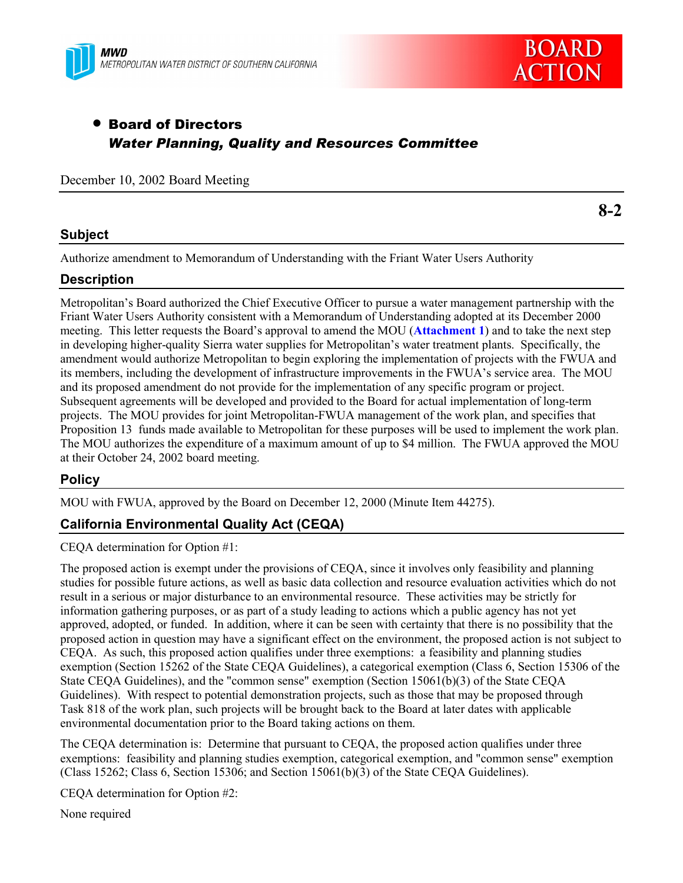



**8-2**

# • Board of Directors *Water Planning, Quality and Resources Committee*

December 10, 2002 Board Meeting

### **Subject**

Authorize amendment to Memorandum of Understanding with the Friant Water Users Authority

#### **Description**

Metropolitanís Board authorized the Chief Executive Officer to pursue a water management partnership with the Friant Water Users Authority consistent with a Memorandum of Understanding adopted at its December 2000 meeting. This letter requests the Board's approval to amend the MOU (**Attachment 1**) and to take the next step in developing higher-quality Sierra water supplies for Metropolitan's water treatment plants. Specifically, the amendment would authorize Metropolitan to begin exploring the implementation of projects with the FWUA and its members, including the development of infrastructure improvements in the FWUA's service area. The MOU and its proposed amendment do not provide for the implementation of any specific program or project. Subsequent agreements will be developed and provided to the Board for actual implementation of long-term projects. The MOU provides for joint Metropolitan-FWUA management of the work plan, and specifies that Proposition 13 funds made available to Metropolitan for these purposes will be used to implement the work plan. The MOU authorizes the expenditure of a maximum amount of up to \$4 million. The FWUA approved the MOU at their October 24, 2002 board meeting.

#### **Policy**

MOU with FWUA, approved by the Board on December 12, 2000 (Minute Item 44275).

## **California Environmental Quality Act (CEQA)**

CEQA determination for Option #1:

The proposed action is exempt under the provisions of CEQA, since it involves only feasibility and planning studies for possible future actions, as well as basic data collection and resource evaluation activities which do not result in a serious or major disturbance to an environmental resource. These activities may be strictly for information gathering purposes, or as part of a study leading to actions which a public agency has not yet approved, adopted, or funded. In addition, where it can be seen with certainty that there is no possibility that the proposed action in question may have a significant effect on the environment, the proposed action is not subject to CEQA. As such, this proposed action qualifies under three exemptions: a feasibility and planning studies exemption (Section 15262 of the State CEQA Guidelines), a categorical exemption (Class 6, Section 15306 of the State CEQA Guidelines), and the "common sense" exemption (Section 15061(b)(3) of the State CEQA Guidelines). With respect to potential demonstration projects, such as those that may be proposed through Task 818 of the work plan, such projects will be brought back to the Board at later dates with applicable environmental documentation prior to the Board taking actions on them.

The CEQA determination is: Determine that pursuant to CEQA, the proposed action qualifies under three exemptions: feasibility and planning studies exemption, categorical exemption, and "common sense" exemption (Class 15262; Class 6, Section 15306; and Section 15061(b)(3) of the State CEQA Guidelines).

CEQA determination for Option #2:

None required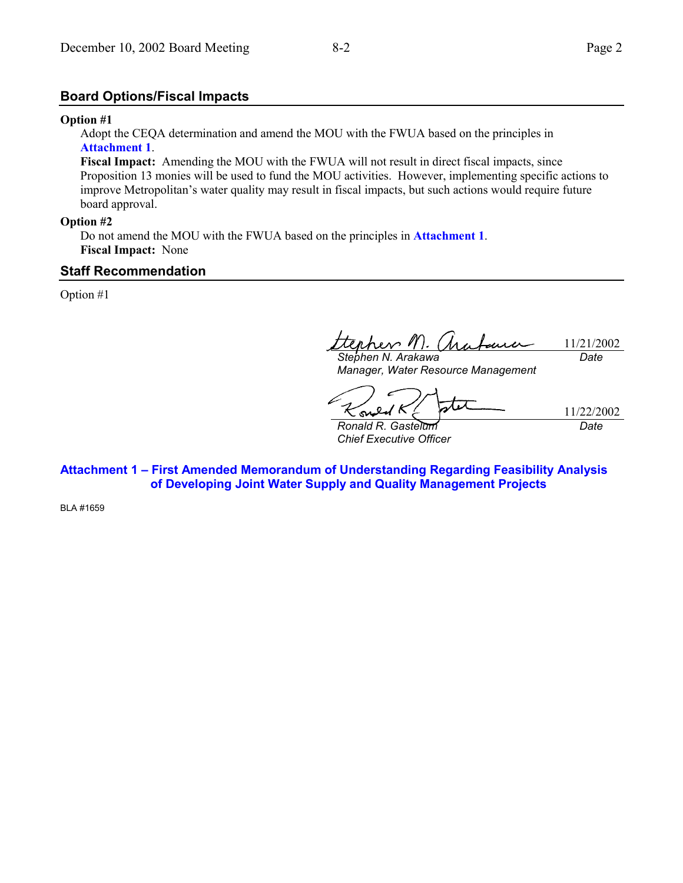#### **Board Options/Fiscal Impacts**

#### **Option #1**

Adopt the CEQA determination and amend the MOU with the FWUA based on the principles in **Attachment 1**.

**Fiscal Impact:** Amending the MOU with the FWUA will not result in direct fiscal impacts, since Proposition 13 monies will be used to fund the MOU activities. However, implementing specific actions to improve Metropolitan's water quality may result in fiscal impacts, but such actions would require future board approval.

#### **Option #2**

Do not amend the MOU with the FWUA based on the principles in **Attachment 1**. **Fiscal Impact:** None

#### **Staff Recommendation**

Option #1

Epher M. (ha 11/21/2002 *Stephen N. Arakawa Date*

*Manager, Water Resource Management*

ona

11/22/2002 *Date*

*Ronald R. Gastelum Chief Executive Officer*

**Attachment 1 - First Amended Memorandum of Understanding Regarding Feasibility Analysis of Developing Joint Water Supply and Quality Management Projects**

BLA #1659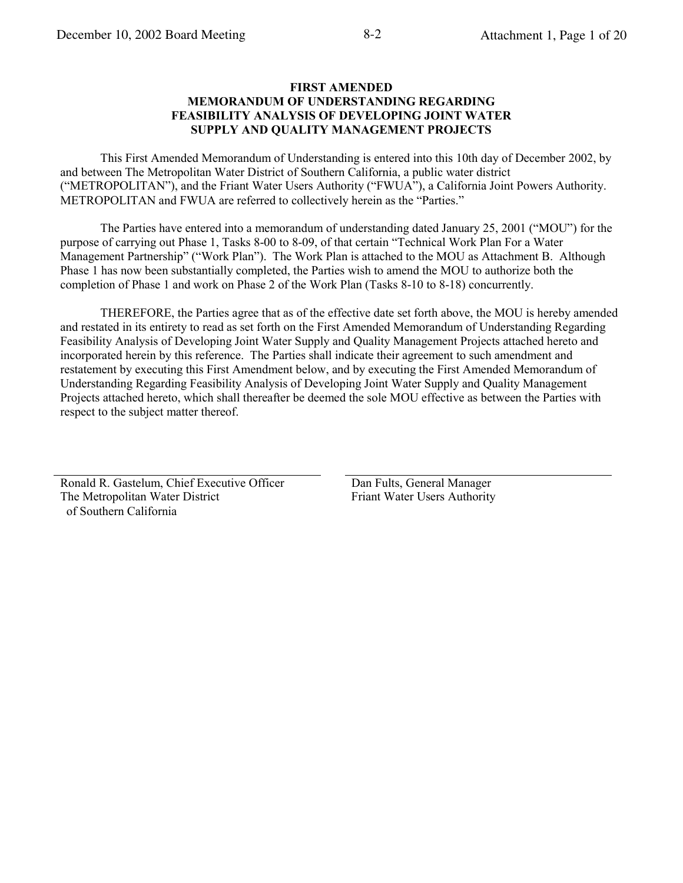#### **FIRST AMENDED MEMORANDUM OF UNDERSTANDING REGARDING FEASIBILITY ANALYSIS OF DEVELOPING JOINT WATER SUPPLY AND OUALITY MANAGEMENT PROJECTS**

This First Amended Memorandum of Understanding is entered into this 10th day of December 2002, by and between The Metropolitan Water District of Southern California, a public water district ("METROPOLITAN"), and the Friant Water Users Authority ("FWUA"), a California Joint Powers Authority. METROPOLITAN and FWUA are referred to collectively herein as the "Parties."

The Parties have entered into a memorandum of understanding dated January 25, 2001 ("MOU") for the purpose of carrying out Phase 1, Tasks 8-00 to 8-09, of that certain "Technical Work Plan For a Water Management Partnership" ("Work Plan"). The Work Plan is attached to the MOU as Attachment B. Although Phase 1 has now been substantially completed, the Parties wish to amend the MOU to authorize both the completion of Phase 1 and work on Phase 2 of the Work Plan (Tasks 8-10 to 8-18) concurrently.

THEREFORE, the Parties agree that as of the effective date set forth above, the MOU is hereby amended and restated in its entirety to read as set forth on the First Amended Memorandum of Understanding Regarding Feasibility Analysis of Developing Joint Water Supply and Quality Management Projects attached hereto and incorporated herein by this reference. The Parties shall indicate their agreement to such amendment and restatement by executing this First Amendment below, and by executing the First Amended Memorandum of Understanding Regarding Feasibility Analysis of Developing Joint Water Supply and Quality Management Projects attached hereto, which shall thereafter be deemed the sole MOU effective as between the Parties with respect to the subject matter thereof.

Ronald R. Gastelum, Chief Executive Officer The Metropolitan Water District of Southern California

Dan Fults, General Manager Friant Water Users Authority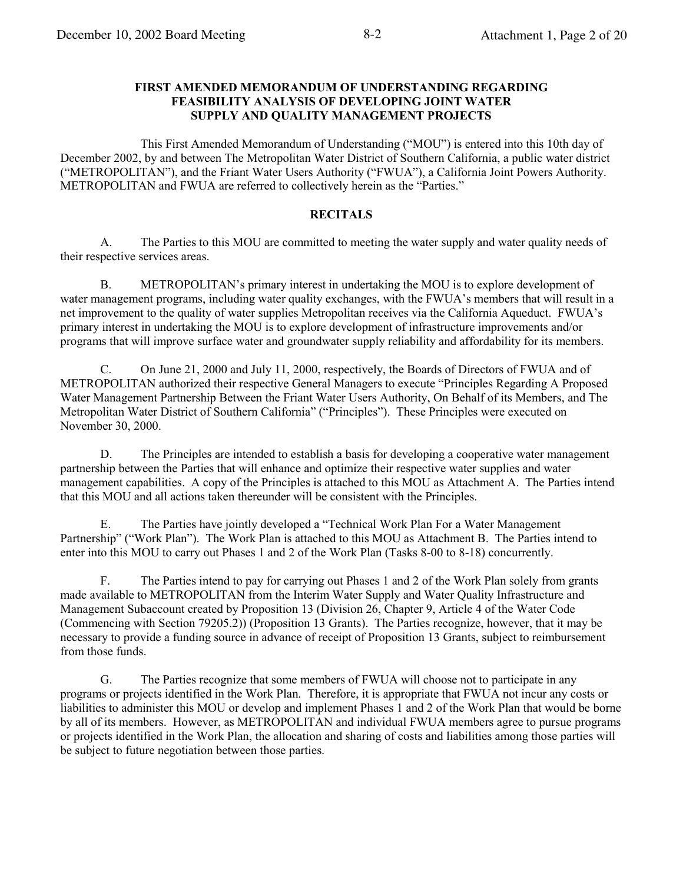#### **FIRST AMENDED MEMORANDUM OF UNDERSTANDING REGARDING FEASIBILITY ANALYSIS OF DEVELOPING JOINT WATER** SUPPLY AND QUALITY MANAGEMENT PROJECTS

This First Amended Memorandum of Understanding ("MOU") is entered into this 10th day of December 2002, by and between The Metropolitan Water District of Southern California, a public water district ("METROPOLITAN"), and the Friant Water Users Authority ("FWUA"), a California Joint Powers Authority. METROPOLITAN and FWUA are referred to collectively herein as the "Parties."

#### **RECITALS**

 $A<sub>1</sub>$ The Parties to this MOU are committed to meeting the water supply and water quality needs of their respective services areas.

 $B<sub>1</sub>$ METROPOLITAN's primary interest in undertaking the MOU is to explore development of water management programs, including water quality exchanges, with the FWUA's members that will result in a net improvement to the quality of water supplies Metropolitan receives via the California Aqueduct. FWUA's primary interest in undertaking the MOU is to explore development of infrastructure improvements and/or programs that will improve surface water and groundwater supply reliability and affordability for its members.

On June 21, 2000 and July 11, 2000, respectively, the Boards of Directors of FWUA and of  $C_{\cdot}$ METROPOLITAN authorized their respective General Managers to execute "Principles Regarding A Proposed Water Management Partnership Between the Friant Water Users Authority, On Behalf of its Members, and The Metropolitan Water District of Southern California" ("Principles"). These Principles were executed on November 30, 2000.

D. The Principles are intended to establish a basis for developing a cooperative water management partnership between the Parties that will enhance and optimize their respective water supplies and water management capabilities. A copy of the Principles is attached to this MOU as Attachment A. The Parties intend that this MOU and all actions taken thereunder will be consistent with the Principles.

 $E_{\perp}$ The Parties have jointly developed a "Technical Work Plan For a Water Management Partnership" ("Work Plan"). The Work Plan is attached to this MOU as Attachment B. The Parties intend to enter into this MOU to carry out Phases 1 and 2 of the Work Plan (Tasks 8-00 to 8-18) concurrently.

F. The Parties intend to pay for carrying out Phases 1 and 2 of the Work Plan solely from grants made available to METROPOLITAN from the Interim Water Supply and Water Quality Infrastructure and Management Subaccount created by Proposition 13 (Division 26, Chapter 9, Article 4 of the Water Code (Commencing with Section 79205.2)) (Proposition 13 Grants). The Parties recognize, however, that it may be necessary to provide a funding source in advance of receipt of Proposition 13 Grants, subject to reimbursement from those funds.

G. The Parties recognize that some members of FWUA will choose not to participate in any programs or projects identified in the Work Plan. Therefore, it is appropriate that FWUA not incur any costs or liabilities to administer this MOU or develop and implement Phases 1 and 2 of the Work Plan that would be borne by all of its members. However, as METROPOLITAN and individual FWUA members agree to pursue programs or projects identified in the Work Plan, the allocation and sharing of costs and liabilities among those parties will be subject to future negotiation between those parties.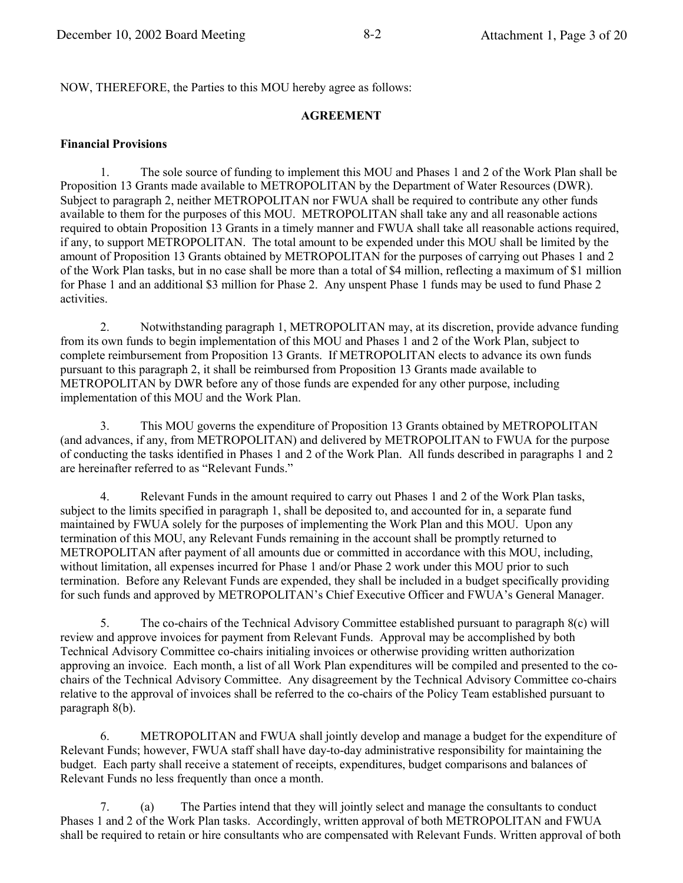NOW, THEREFORE, the Parties to this MOU hereby agree as follows:

#### **AGREEMENT**

#### **Financial Provisions**

The sole source of funding to implement this MOU and Phases 1 and 2 of the Work Plan shall be 1. Proposition 13 Grants made available to METROPOLITAN by the Department of Water Resources (DWR). Subject to paragraph 2, neither METROPOLITAN nor FWUA shall be required to contribute any other funds available to them for the purposes of this MOU. METROPOLITAN shall take any and all reasonable actions required to obtain Proposition 13 Grants in a timely manner and FWUA shall take all reasonable actions required, if any, to support METROPOLITAN. The total amount to be expended under this MOU shall be limited by the amount of Proposition 13 Grants obtained by METROPOLITAN for the purposes of carrying out Phases 1 and 2 of the Work Plan tasks, but in no case shall be more than a total of \$4 million, reflecting a maximum of \$1 million for Phase 1 and an additional \$3 million for Phase 2. Any unspent Phase 1 funds may be used to fund Phase 2 activities.

 $\overline{2}$ . Notwithstanding paragraph 1, METROPOLITAN may, at its discretion, provide advance funding from its own funds to begin implementation of this MOU and Phases 1 and 2 of the Work Plan, subject to complete reimbursement from Proposition 13 Grants. If METROPOLITAN elects to advance its own funds pursuant to this paragraph 2, it shall be reimbursed from Proposition 13 Grants made available to METROPOLITAN by DWR before any of those funds are expended for any other purpose, including implementation of this MOU and the Work Plan.

 $3<sub>1</sub>$ This MOU governs the expenditure of Proposition 13 Grants obtained by METROPOLITAN (and advances, if any, from METROPOLITAN) and delivered by METROPOLITAN to FWUA for the purpose of conducting the tasks identified in Phases 1 and 2 of the Work Plan. All funds described in paragraphs 1 and 2 are hereinafter referred to as "Relevant Funds."

 $\overline{4}$ . Relevant Funds in the amount required to carry out Phases 1 and 2 of the Work Plan tasks, subject to the limits specified in paragraph 1, shall be deposited to, and accounted for in, a separate fund maintained by FWUA solely for the purposes of implementing the Work Plan and this MOU. Upon any termination of this MOU, any Relevant Funds remaining in the account shall be promptly returned to METROPOLITAN after payment of all amounts due or committed in accordance with this MOU, including, without limitation, all expenses incurred for Phase 1 and/or Phase 2 work under this MOU prior to such termination. Before any Relevant Funds are expended, they shall be included in a budget specifically providing for such funds and approved by METROPOLITAN's Chief Executive Officer and FWUA's General Manager.

 $5<sub>1</sub>$ The co-chairs of the Technical Advisory Committee established pursuant to paragraph 8(c) will review and approve invoices for payment from Relevant Funds. Approval may be accomplished by both Technical Advisory Committee co-chairs initialing invoices or otherwise providing written authorization approving an invoice. Each month, a list of all Work Plan expenditures will be compiled and presented to the cochairs of the Technical Advisory Committee. Any disagreement by the Technical Advisory Committee co-chairs relative to the approval of invoices shall be referred to the co-chairs of the Policy Team established pursuant to paragraph 8(b).

6. METROPOLITAN and FWUA shall jointly develop and manage a budget for the expenditure of Relevant Funds: however, FWUA staff shall have day-to-day administrative responsibility for maintaining the budget. Each party shall receive a statement of receipts, expenditures, budget comparisons and balances of Relevant Funds no less frequently than once a month.

 $7<sup>1</sup>$  $(a)$ The Parties intend that they will jointly select and manage the consultants to conduct Phases 1 and 2 of the Work Plan tasks. Accordingly, written approval of both METROPOLITAN and FWUA shall be required to retain or hire consultants who are compensated with Relevant Funds. Written approval of both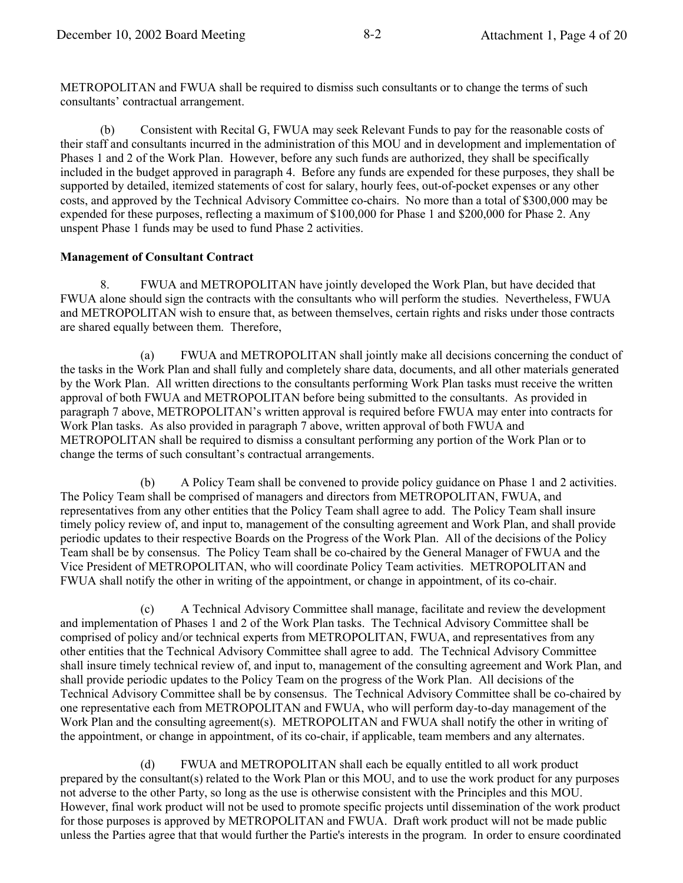METROPOLITAN and FWUA shall be required to dismiss such consultants or to change the terms of such consultants' contractual arrangement.

 $(b)$ Consistent with Recital G, FWUA may seek Relevant Funds to pay for the reasonable costs of their staff and consultants incurred in the administration of this MOU and in development and implementation of Phases 1 and 2 of the Work Plan. However, before any such funds are authorized, they shall be specifically included in the budget approved in paragraph 4. Before any funds are expended for these purposes, they shall be supported by detailed, itemized statements of cost for salary, hourly fees, out-of-pocket expenses or any other costs, and approved by the Technical Advisory Committee co-chairs. No more than a total of \$300,000 may be expended for these purposes, reflecting a maximum of \$100,000 for Phase 1 and \$200,000 for Phase 2. Any unspent Phase 1 funds may be used to fund Phase 2 activities.

#### **Management of Consultant Contract**

8. FWUA and METROPOLITAN have jointly developed the Work Plan, but have decided that FWUA alone should sign the contracts with the consultants who will perform the studies. Nevertheless, FWUA and METROPOLITAN wish to ensure that, as between themselves, certain rights and risks under those contracts are shared equally between them. Therefore,

 $(a)$ FWUA and METROPOLITAN shall jointly make all decisions concerning the conduct of the tasks in the Work Plan and shall fully and completely share data, documents, and all other materials generated by the Work Plan. All written directions to the consultants performing Work Plan tasks must receive the written approval of both FWUA and METROPOLITAN before being submitted to the consultants. As provided in paragraph 7 above, METROPOLITAN's written approval is required before FWUA may enter into contracts for Work Plan tasks. As also provided in paragraph 7 above, written approval of both FWUA and METROPOLITAN shall be required to dismiss a consultant performing any portion of the Work Plan or to change the terms of such consultant's contractual arrangements.

A Policy Team shall be convened to provide policy guidance on Phase 1 and 2 activities. (b) The Policy Team shall be comprised of managers and directors from METROPOLITAN, FWUA, and representatives from any other entities that the Policy Team shall agree to add. The Policy Team shall insure timely policy review of, and input to, management of the consulting agreement and Work Plan, and shall provide periodic updates to their respective Boards on the Progress of the Work Plan. All of the decisions of the Policy Team shall be by consensus. The Policy Team shall be co-chaired by the General Manager of FWUA and the Vice President of METROPOLITAN, who will coordinate Policy Team activities. METROPOLITAN and FWUA shall notify the other in writing of the appointment, or change in appointment, of its co-chair.

A Technical Advisory Committee shall manage, facilitate and review the development  $(c)$ and implementation of Phases 1 and 2 of the Work Plan tasks. The Technical Advisory Committee shall be comprised of policy and/or technical experts from METROPOLITAN, FWUA, and representatives from any other entities that the Technical Advisory Committee shall agree to add. The Technical Advisory Committee shall insure timely technical review of, and input to, management of the consulting agreement and Work Plan, and shall provide periodic updates to the Policy Team on the progress of the Work Plan. All decisions of the Technical Advisory Committee shall be by consensus. The Technical Advisory Committee shall be co-chaired by one representative each from METROPOLITAN and FWUA, who will perform day-to-day management of the Work Plan and the consulting agreement(s). METROPOLITAN and FWUA shall notify the other in writing of the appointment, or change in appointment, of its co-chair, if applicable, team members and any alternates.

 $(d)$ FWUA and METROPOLITAN shall each be equally entitled to all work product prepared by the consultant(s) related to the Work Plan or this MOU, and to use the work product for any purposes not adverse to the other Party, so long as the use is otherwise consistent with the Principles and this MOU. However, final work product will not be used to promote specific projects until dissemination of the work product for those purposes is approved by METROPOLITAN and FWUA. Draft work product will not be made public unless the Parties agree that that would further the Partie's interests in the program. In order to ensure coordinated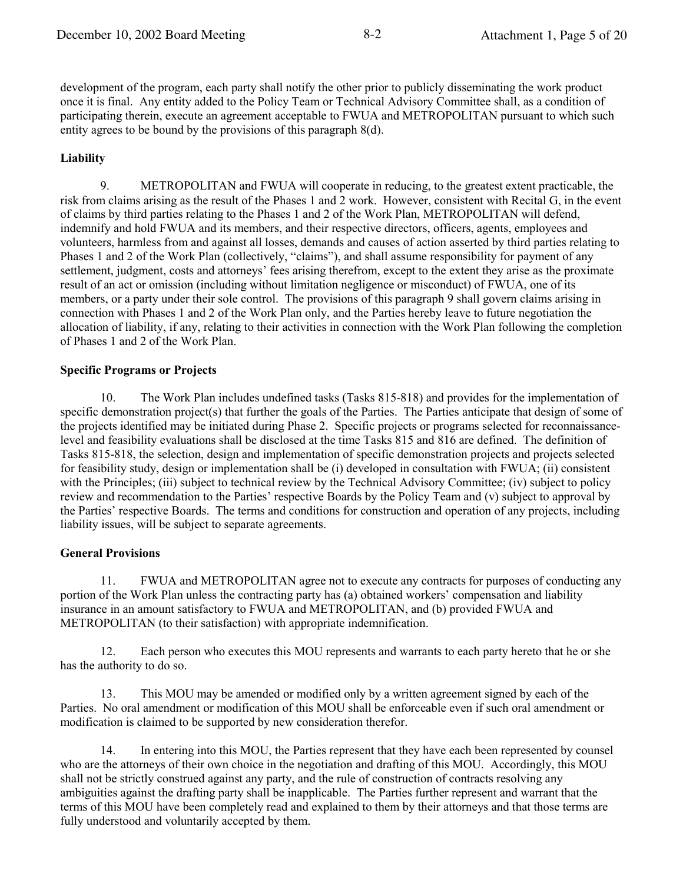development of the program, each party shall notify the other prior to publicly disseminating the work product once it is final. Any entity added to the Policy Team or Technical Advisory Committee shall, as a condition of participating therein, execute an agreement acceptable to FWUA and METROPOLITAN pursuant to which such entity agrees to be bound by the provisions of this paragraph  $8(d)$ .

### **Liability**

9. METROPOLITAN and FWUA will cooperate in reducing, to the greatest extent practicable, the risk from claims arising as the result of the Phases 1 and 2 work. However, consistent with Recital G, in the event of claims by third parties relating to the Phases 1 and 2 of the Work Plan, METROPOLITAN will defend, indemnify and hold FWUA and its members, and their respective directors, officers, agents, employees and volunteers, harmless from and against all losses, demands and causes of action asserted by third parties relating to Phases 1 and 2 of the Work Plan (collectively, "claims"), and shall assume responsibility for payment of any settlement, judgment, costs and attorneys' fees arising therefrom, except to the extent they arise as the proximate result of an act or omission (including without limitation negligence or misconduct) of FWUA, one of its members, or a party under their sole control. The provisions of this paragraph 9 shall govern claims arising in connection with Phases 1 and 2 of the Work Plan only, and the Parties hereby leave to future negotiation the allocation of liability, if any, relating to their activities in connection with the Work Plan following the completion of Phases 1 and 2 of the Work Plan.

#### **Specific Programs or Projects**

 $10<sub>1</sub>$ The Work Plan includes undefined tasks (Tasks 815-818) and provides for the implementation of specific demonstration project(s) that further the goals of the Parties. The Parties anticipate that design of some of the projects identified may be initiated during Phase 2. Specific projects or programs selected for reconnaissancelevel and feasibility evaluations shall be disclosed at the time Tasks 815 and 816 are defined. The definition of Tasks 815-818, the selection, design and implementation of specific demonstration projects and projects selected for feasibility study, design or implementation shall be (i) developed in consultation with FWUA; (ii) consistent with the Principles; (iii) subject to technical review by the Technical Advisory Committee; (iv) subject to policy review and recommendation to the Parties' respective Boards by the Policy Team and (v) subject to approval by the Parties' respective Boards. The terms and conditions for construction and operation of any projects, including liability issues, will be subject to separate agreements.

#### **General Provisions**

11. FWUA and METROPOLITAN agree not to execute any contracts for purposes of conducting any portion of the Work Plan unless the contracting party has (a) obtained workers' compensation and liability insurance in an amount satisfactory to FWUA and METROPOLITAN, and (b) provided FWUA and METROPOLITAN (to their satisfaction) with appropriate indemnification.

Each person who executes this MOU represents and warrants to each party hereto that he or she 12. has the authority to do so.

13. This MOU may be amended or modified only by a written agreement signed by each of the Parties. No oral amendment or modification of this MOU shall be enforceable even if such oral amendment or modification is claimed to be supported by new consideration therefor.

In entering into this MOU, the Parties represent that they have each been represented by counsel 14. who are the attorneys of their own choice in the negotiation and drafting of this MOU. Accordingly, this MOU shall not be strictly construed against any party, and the rule of construction of contracts resolving any ambiguities against the drafting party shall be inapplicable. The Parties further represent and warrant that the terms of this MOU have been completely read and explained to them by their attorneys and that those terms are fully understood and voluntarily accepted by them.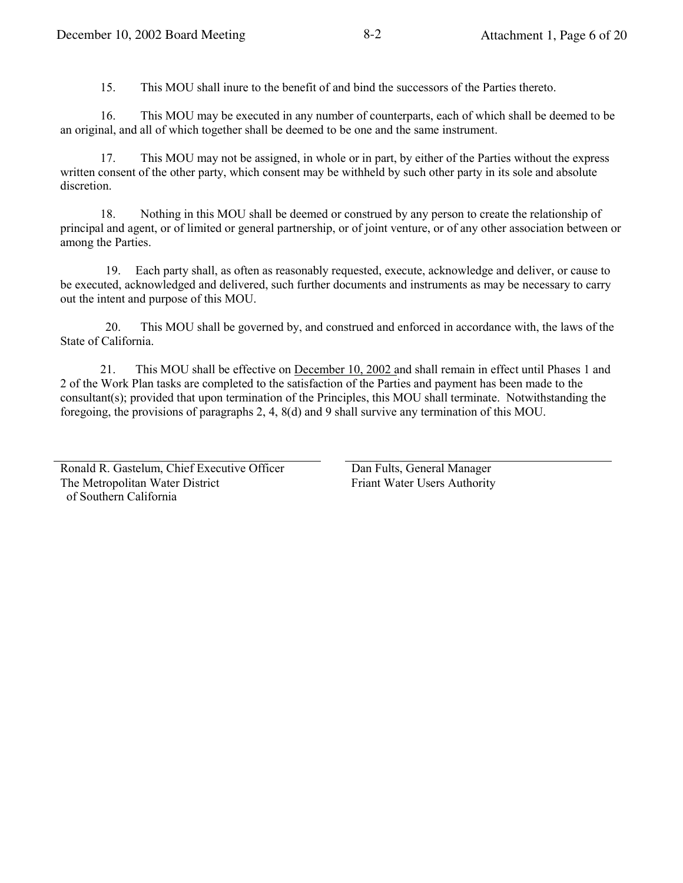15. This MOU shall inure to the benefit of and bind the successors of the Parties thereto.

This MOU may be executed in any number of counterparts, each of which shall be deemed to be 16. an original, and all of which together shall be deemed to be one and the same instrument.

17. This MOU may not be assigned, in whole or in part, by either of the Parties without the express written consent of the other party, which consent may be withheld by such other party in its sole and absolute discretion.

Nothing in this MOU shall be deemed or construed by any person to create the relationship of 18. principal and agent, or of limited or general partnership, or of joint venture, or of any other association between or among the Parties.

Each party shall, as often as reasonably requested, execute, acknowledge and deliver, or cause to 19. be executed, acknowledged and delivered, such further documents and instruments as may be necessary to carry out the intent and purpose of this MOU.

This MOU shall be governed by, and construed and enforced in accordance with, the laws of the 20. State of California.

This MOU shall be effective on December 10, 2002 and shall remain in effect until Phases 1 and 21. 2 of the Work Plan tasks are completed to the satisfaction of the Parties and payment has been made to the consultant(s); provided that upon termination of the Principles, this MOU shall terminate. Notwithstanding the foregoing, the provisions of paragraphs 2, 4, 8(d) and 9 shall survive any termination of this MOU.

Ronald R. Gastelum, Chief Executive Officer The Metropolitan Water District of Southern California

Dan Fults, General Manager **Friant Water Users Authority**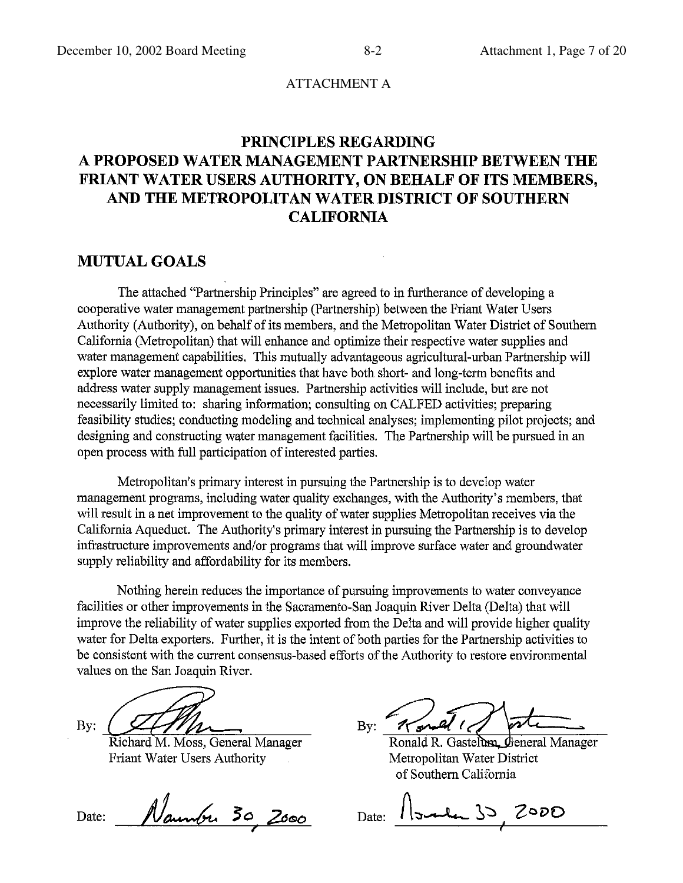#### ATTACHMENT A

# PRINCIPLES REGARDING A PROPOSED WATER MANAGEMENT PARTNERSHIP BETWEEN THE FRIANT WATER USERS AUTHORITY, ON BEHALF OF ITS MEMBERS, AND THE METROPOLITAN WATER DISTRICT OF SOUTHERN **CALIFORNIA**

### **MUTUAL GOALS**

The attached "Partnership Principles" are agreed to in furtherance of developing a cooperative water management partnership (Partnership) between the Friant Water Users Authority (Authority), on behalf of its members, and the Metropolitan Water District of Southern California (Metropolitan) that will enhance and optimize their respective water supplies and water management capabilities. This mutually advantageous agricultural-urban Partnership will explore water management opportunities that have both short- and long-term benefits and address water supply management issues. Partnership activities will include, but are not necessarily limited to: sharing information; consulting on CALFED activities; preparing feasibility studies; conducting modeling and technical analyses; implementing pilot projects; and designing and constructing water management facilities. The Partnership will be pursued in an open process with full participation of interested parties.

Metropolitan's primary interest in pursuing the Partnership is to develop water management programs, including water quality exchanges, with the Authority's members, that will result in a net improvement to the quality of water supplies Metropolitan receives via the California Aqueduct. The Authority's primary interest in pursuing the Partnership is to develop infrastructure improvements and/or programs that will improve surface water and groundwater supply reliability and affordability for its members.

Nothing herein reduces the importance of pursuing improvements to water conveyance facilities or other improvements in the Sacramento-San Joaquin River Delta (Delta) that will improve the reliability of water supplies exported from the Delta and will provide higher quality water for Delta exporters. Further, it is the intent of both parties for the Partnership activities to be consistent with the current consensus-based efforts of the Authority to restore environmental values on the San Joaquin River.

 $By:$ 

Richard M. Moss, General Manager Friant Water Users Authority

Date: Naunbu 30 2000

مهر  $\mathbf{B} \mathbf{v}$ :

Ronald R. Gastelum, General Manager Metropolitan Water District of Southern California

Date:  $1$  I would 30  $2000$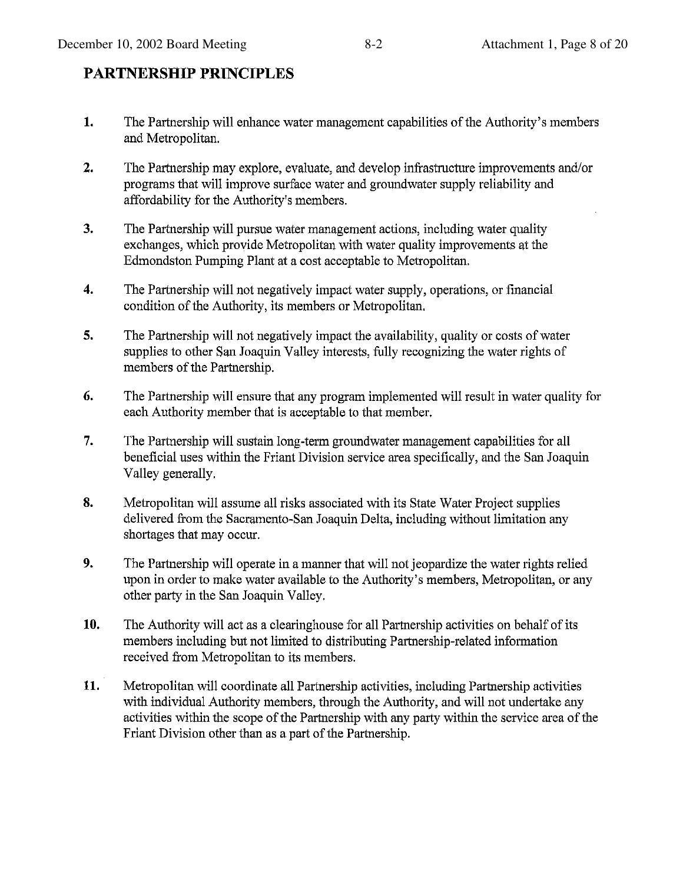## $8-2$

# **PARTNERSHIP PRINCIPLES**

- 1. The Partnership will enhance water management capabilities of the Authority's members and Metropolitan.
- $2.$ The Partnership may explore, evaluate, and develop infrastructure improvements and/or programs that will improve surface water and groundwater supply reliability and affordability for the Authority's members.
- $3.$ The Partnership will pursue water management actions, including water quality exchanges, which provide Metropolitan with water quality improvements at the Edmondston Pumping Plant at a cost acceptable to Metropolitan.
- $4.$ The Partnership will not negatively impact water supply, operations, or financial condition of the Authority, its members or Metropolitan.
- 5. The Partnership will not negatively impact the availability, quality or costs of water supplies to other San Joaquin Valley interests, fully recognizing the water rights of members of the Partnership.
- 6. The Partnership will ensure that any program implemented will result in water quality for each Authority member that is acceptable to that member.
- The Partnership will sustain long-term groundwater management capabilities for all 7. beneficial uses within the Friant Division service area specifically, and the San Joaquin Valley generally.
- 8. Metropolitan will assume all risks associated with its State Water Project supplies delivered from the Sacramento-San Joaquin Delta, including without limitation any shortages that may occur.
- 9. The Partnership will operate in a manner that will not jeopardize the water rights relied upon in order to make water available to the Authority's members, Metropolitan, or any other party in the San Joaquin Valley.
- 10. The Authority will act as a clearinghouse for all Partnership activities on behalf of its members including but not limited to distributing Partnership-related information received from Metropolitan to its members.
- 11. Metropolitan will coordinate all Partnership activities, including Partnership activities with individual Authority members, through the Authority, and will not undertake any activities within the scope of the Partnership with any party within the service area of the Friant Division other than as a part of the Partnership.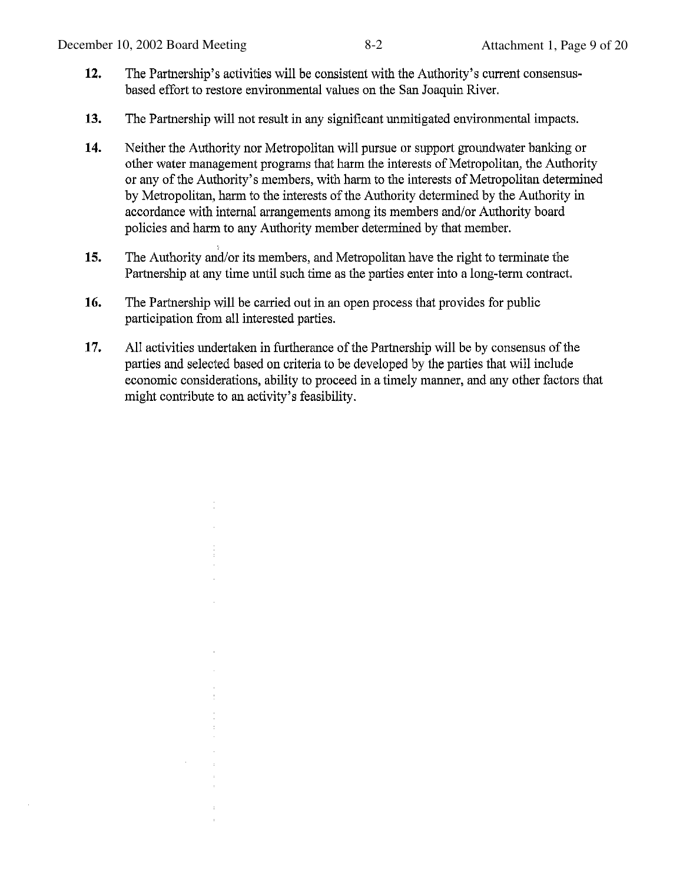- 12. The Partnership's activities will be consistent with the Authority's current consensusbased effort to restore environmental values on the San Joaquin River.
- $13.$ The Partnership will not result in any significant unmitigated environmental impacts.
- 14. Neither the Authority nor Metropolitan will pursue or support groundwater banking or other water management programs that harm the interests of Metropolitan, the Authority or any of the Authority's members, with harm to the interests of Metropolitan determined by Metropolitan, harm to the interests of the Authority determined by the Authority in accordance with internal arrangements among its members and/or Authority board policies and harm to any Authority member determined by that member.
- The Authority and/or its members, and Metropolitan have the right to terminate the 15. Partnership at any time until such time as the parties enter into a long-term contract.
- 16. The Partnership will be carried out in an open process that provides for public participation from all interested parties.

t

17. All activities undertaken in furtherance of the Partnership will be by consensus of the parties and selected based on criteria to be developed by the parties that will include economic considerations, ability to proceed in a timely manner, and any other factors that might contribute to an activity's feasibility.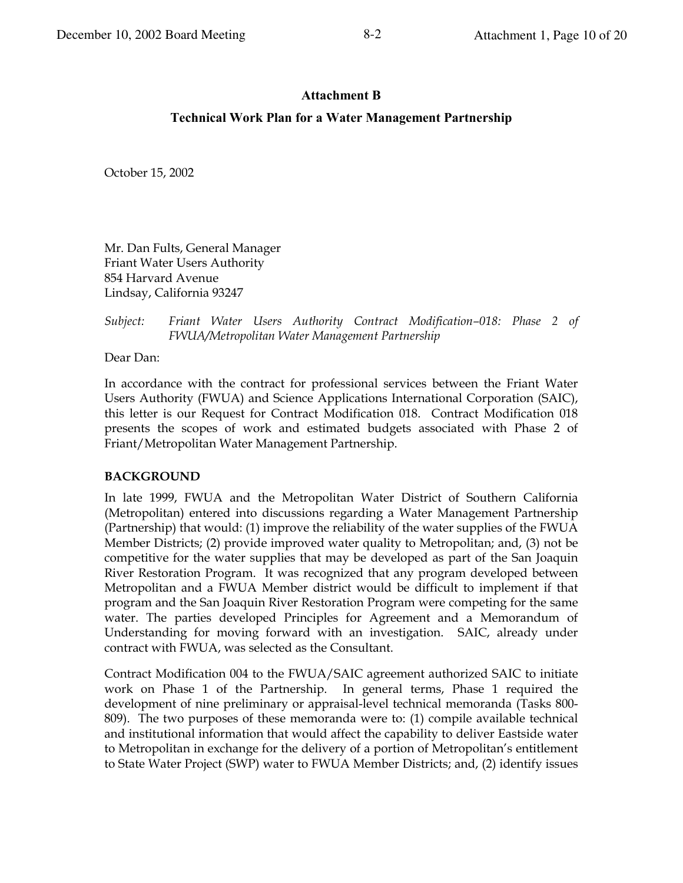# $8-2$

### **Attachment B**

#### **Technical Work Plan for a Water Management Partnership**

October 15, 2002

Mr. Dan Fults, General Manager **Friant Water Users Authority** 854 Harvard Avenue Lindsay, California 93247

#### Subject: Friant Water Users Authority Contract Modification-018: Phase 2 of FWUA/Metropolitan Water Management Partnership

Dear Dan:

In accordance with the contract for professional services between the Friant Water Users Authority (FWUA) and Science Applications International Corporation (SAIC), this letter is our Request for Contract Modification 018. Contract Modification 018 presents the scopes of work and estimated budgets associated with Phase 2 of Friant/Metropolitan Water Management Partnership.

#### **BACKGROUND**

In late 1999, FWUA and the Metropolitan Water District of Southern California (Metropolitan) entered into discussions regarding a Water Management Partnership (Partnership) that would: (1) improve the reliability of the water supplies of the FWUA Member Districts; (2) provide improved water quality to Metropolitan; and, (3) not be competitive for the water supplies that may be developed as part of the San Joaquin River Restoration Program. It was recognized that any program developed between Metropolitan and a FWUA Member district would be difficult to implement if that program and the San Joaquin River Restoration Program were competing for the same water. The parties developed Principles for Agreement and a Memorandum of Understanding for moving forward with an investigation. SAIC, already under contract with FWUA, was selected as the Consultant.

Contract Modification 004 to the FWUA/SAIC agreement authorized SAIC to initiate work on Phase 1 of the Partnership. In general terms, Phase 1 required the development of nine preliminary or appraisal-level technical memoranda (Tasks 800-809). The two purposes of these memoranda were to: (1) compile available technical and institutional information that would affect the capability to deliver Eastside water to Metropolitan in exchange for the delivery of a portion of Metropolitan's entitlement to State Water Project (SWP) water to FWUA Member Districts; and, (2) identify issues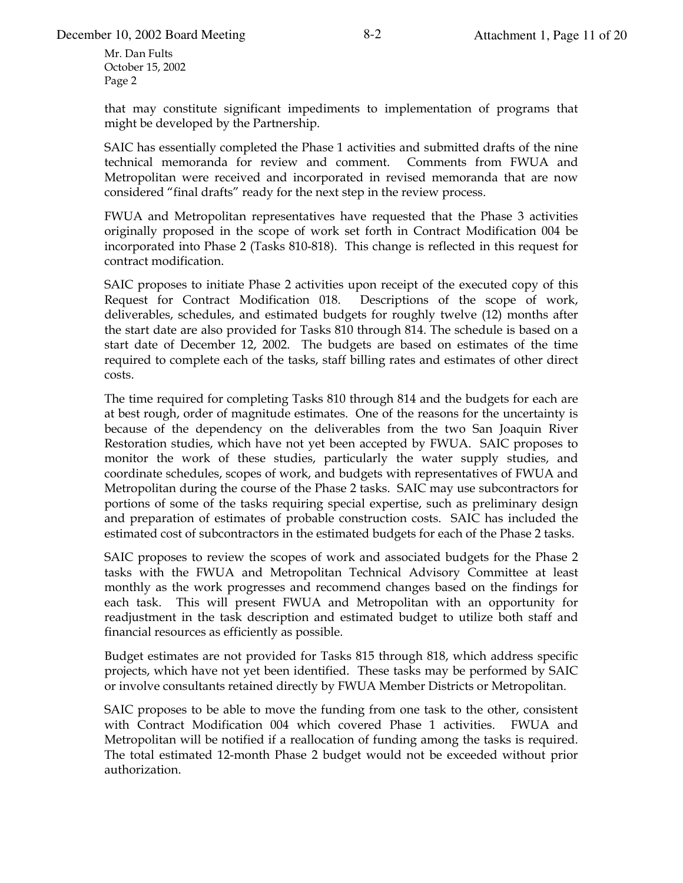that may constitute significant impediments to implementation of programs that might be developed by the Partnership.

SAIC has essentially completed the Phase 1 activities and submitted drafts of the nine technical memoranda for review and comment. Comments from FWUA and Metropolitan were received and incorporated in revised memoranda that are now considered "final drafts" ready for the next step in the review process.

FWUA and Metropolitan representatives have requested that the Phase 3 activities originally proposed in the scope of work set forth in Contract Modification 004 be incorporated into Phase 2 (Tasks 810-818). This change is reflected in this request for contract modification.

SAIC proposes to initiate Phase 2 activities upon receipt of the executed copy of this Request for Contract Modification 018. Descriptions of the scope of work, deliverables, schedules, and estimated budgets for roughly twelve (12) months after the start date are also provided for Tasks 810 through 814. The schedule is based on a start date of December 12, 2002. The budgets are based on estimates of the time required to complete each of the tasks, staff billing rates and estimates of other direct costs.

The time required for completing Tasks 810 through 814 and the budgets for each are at best rough, order of magnitude estimates. One of the reasons for the uncertainty is because of the dependency on the deliverables from the two San Joaquin River Restoration studies, which have not yet been accepted by FWUA. SAIC proposes to monitor the work of these studies, particularly the water supply studies, and coordinate schedules, scopes of work, and budgets with representatives of FWUA and Metropolitan during the course of the Phase 2 tasks. SAIC may use subcontractors for portions of some of the tasks requiring special expertise, such as preliminary design and preparation of estimates of probable construction costs. SAIC has included the estimated cost of subcontractors in the estimated budgets for each of the Phase 2 tasks.

SAIC proposes to review the scopes of work and associated budgets for the Phase 2 tasks with the FWUA and Metropolitan Technical Advisory Committee at least monthly as the work progresses and recommend changes based on the findings for each task. This will present FWUA and Metropolitan with an opportunity for readjustment in the task description and estimated budget to utilize both staff and financial resources as efficiently as possible.

Budget estimates are not provided for Tasks 815 through 818, which address specific projects, which have not yet been identified. These tasks may be performed by SAIC or involve consultants retained directly by FWUA Member Districts or Metropolitan.

SAIC proposes to be able to move the funding from one task to the other, consistent with Contract Modification 004 which covered Phase 1 activities. FWUA and Metropolitan will be notified if a reallocation of funding among the tasks is required. The total estimated 12-month Phase 2 budget would not be exceeded without prior authorization.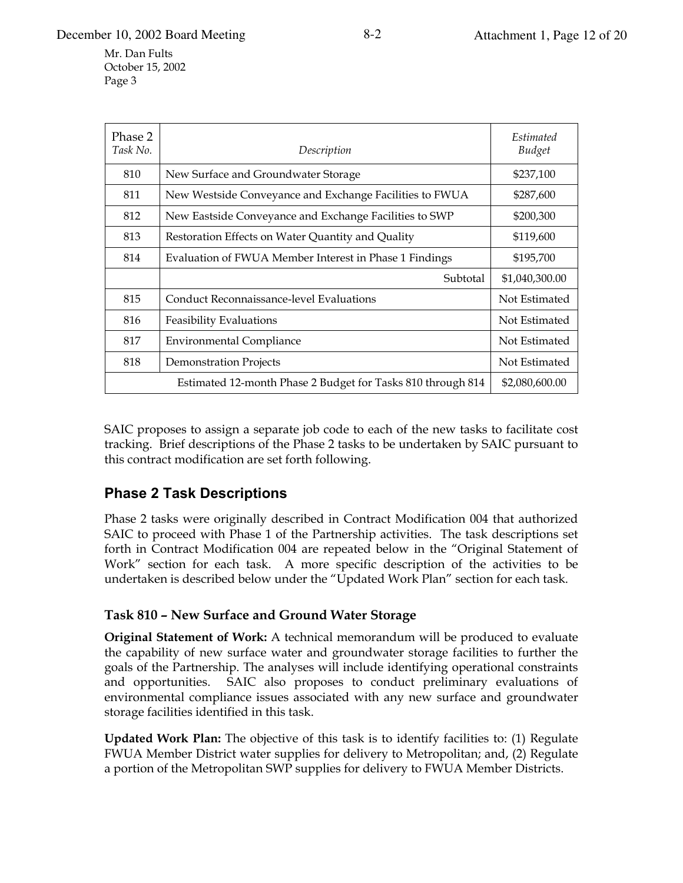December 10, 2002 Board Meeting

Mr. Dan Fults October 15, 2002 Page 3

| Phase 2<br>Task No. | Description                                             | Estimated<br><b>Budget</b> |  |
|---------------------|---------------------------------------------------------|----------------------------|--|
| 810                 | New Surface and Groundwater Storage                     | \$237,100                  |  |
| 811                 | New Westside Conveyance and Exchange Facilities to FWUA | \$287,600                  |  |
| 812                 | New Eastside Conveyance and Exchange Facilities to SWP  | \$200,300                  |  |
| 813                 | Restoration Effects on Water Quantity and Quality       | \$119,600                  |  |
| 814                 | Evaluation of FWUA Member Interest in Phase 1 Findings  | \$195,700                  |  |
|                     | Subtotal                                                | \$1,040,300.00             |  |
| 815                 | <b>Conduct Reconnaissance-level Evaluations</b>         | Not Estimated              |  |
| 816                 | <b>Feasibility Evaluations</b>                          | Not Estimated              |  |
| 817                 | <b>Environmental Compliance</b>                         | Not Estimated              |  |
| 818                 | <b>Demonstration Projects</b>                           | Not Estimated              |  |
|                     | \$2,080,600.00                                          |                            |  |

SAIC proposes to assign a separate job code to each of the new tasks to facilitate cost tracking. Brief descriptions of the Phase 2 tasks to be undertaken by SAIC pursuant to this contract modification are set forth following.

# **Phase 2 Task Descriptions**

Phase 2 tasks were originally described in Contract Modification 004 that authorized SAIC to proceed with Phase 1 of the Partnership activities. The task descriptions set forth in Contract Modification 004 are repeated below in the "Original Statement of Work" section for each task. A more specific description of the activities to be undertaken is described below under the "Updated Work Plan" section for each task.

## Task 810 - New Surface and Ground Water Storage

Original Statement of Work: A technical memorandum will be produced to evaluate the capability of new surface water and groundwater storage facilities to further the goals of the Partnership. The analyses will include identifying operational constraints and opportunities. SAIC also proposes to conduct preliminary evaluations of environmental compliance issues associated with any new surface and groundwater storage facilities identified in this task.

**Updated Work Plan:** The objective of this task is to identify facilities to: (1) Regulate FWUA Member District water supplies for delivery to Metropolitan; and, (2) Regulate a portion of the Metropolitan SWP supplies for delivery to FWUA Member Districts.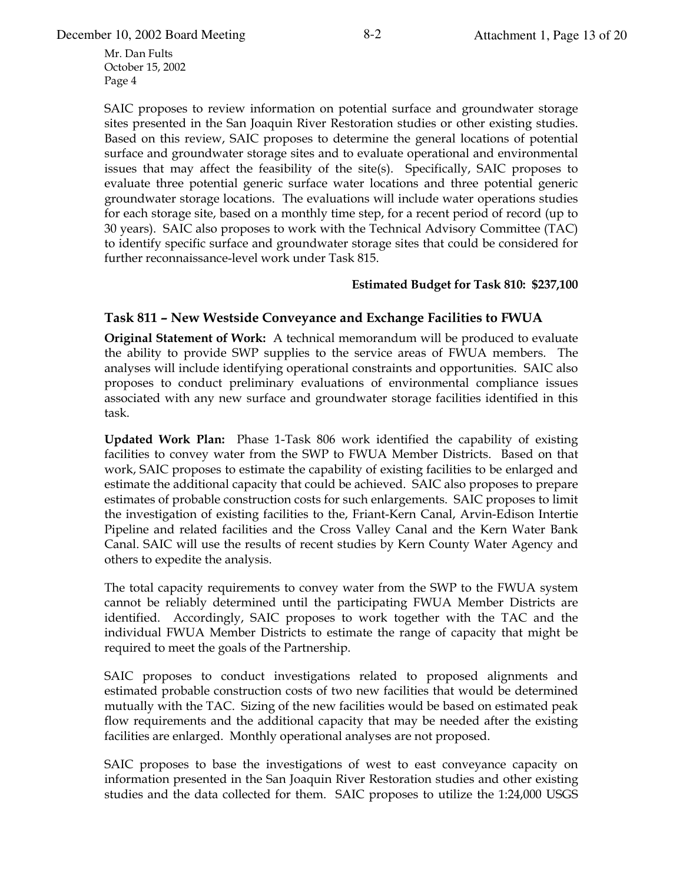SAIC proposes to review information on potential surface and groundwater storage sites presented in the San Joaquin River Restoration studies or other existing studies. Based on this review, SAIC proposes to determine the general locations of potential surface and groundwater storage sites and to evaluate operational and environmental issues that may affect the feasibility of the site(s). Specifically, SAIC proposes to evaluate three potential generic surface water locations and three potential generic groundwater storage locations. The evaluations will include water operations studies for each storage site, based on a monthly time step, for a recent period of record (up to 30 years). SAIC also proposes to work with the Technical Advisory Committee (TAC) to identify specific surface and groundwater storage sites that could be considered for further reconnaissance-level work under Task 815.

#### **Estimated Budget for Task 810: \$237,100**

### **Task 811 - New Westside Conveyance and Exchange Facilities to FWUA**

**Original Statement of Work:** A technical memorandum will be produced to evaluate the ability to provide SWP supplies to the service areas of FWUA members. The analyses will include identifying operational constraints and opportunities. SAIC also proposes to conduct preliminary evaluations of environmental compliance issues associated with any new surface and groundwater storage facilities identified in this task.

**Updated Work Plan:** Phase 1-Task 806 work identified the capability of existing facilities to convey water from the SWP to FWUA Member Districts. Based on that Work, SAIC proposes to estimate the capability of existing facilities to be enlarged and estimate the additional capacity that could be achieved. SAIC also proposes to prepare estimates of probable construction costs for such enlargements. SAIC proposes to limit the investigation of existing facilities to the, Friant-Kern Canal, Arvin-Edison Intertie Pipeline and related facilities and the Cross Valley Canal and the Kern Water Bank Canal. SAIC will use the results of recent studies by Kern County Water Agency and others to expedite the analysis.

The total capacity requirements to convey water from the SWP to the FWUA system cannot be reliably determined until the participating FWUA Member Districts are identified. Accordingly, SAIC proposes to work together with the TAC and the individual FWUA Member Districts to estimate the range of capacity that might be required to meet the goals of the Partnership.

SAIC proposes to conduct investigations related to proposed alignments and estimated probable construction costs of two new facilities that would be determined mutually with the TAC. Sizing of the new facilities would be based on estimated peak flow requirements and the additional capacity that may be needed after the existing facilities are enlarged. Monthly operational analyses are not proposed.

SAIC proposes to base the investigations of west to east conveyance capacity on information presented in the San Joaquin River Restoration studies and other existing studies and the data collected for them. SAIC proposes to utilize the 1:24,000 USGS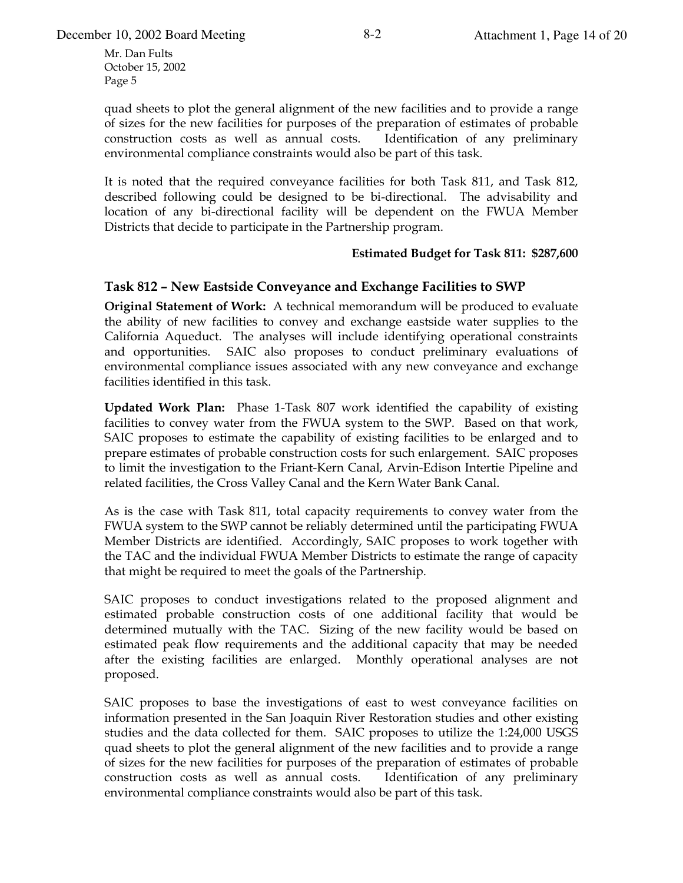quad sheets to plot the general alignment of the new facilities and to provide a range of sizes for the new facilities for purposes of the preparation of estimates of probable construction costs as well as annual costs. Identification of any preliminary environmental compliance constraints would also be part of this task.

It is noted that the required conveyance facilities for both Task 811, and Task 812, described following could be designed to be bi-directional. The advisability and location of any bi-directional facility will be dependent on the FWUA Member Districts that decide to participate in the Partnership program.

#### **Estimated Budget for Task 811: \$287,600**

#### **Task 812 - New Eastside Conveyance and Exchange Facilities to SWP**

**Original Statement of Work:** A technical memorandum will be produced to evaluate the ability of new facilities to convey and exchange eastside water supplies to the California Aqueduct. The analyses will include identifying operational constraints and opportunities. SAIC also proposes to conduct preliminary evaluations of environmental compliance issues associated with any new conveyance and exchange facilities identified in this task.

**Updated Work Plan:** Phase 1-Task 807 work identified the capability of existing facilities to convey water from the FWUA system to the SWP. Based on that work, SAIC proposes to estimate the capability of existing facilities to be enlarged and to prepare estimates of probable construction costs for such enlargement. SAIC proposes to limit the investigation to the Friant-Kern Canal, Arvin-Edison Intertie Pipeline and related facilities, the Cross Valley Canal and the Kern Water Bank Canal.

As is the case with Task 811, total capacity requirements to convey water from the FWUA system to the SWP cannot be reliably determined until the participating FWUA Member Districts are identified. Accordingly, SAIC proposes to work together with the TAC and the individual FWUA Member Districts to estimate the range of capacity that might be required to meet the goals of the Partnership.

SAIC proposes to conduct investigations related to the proposed alignment and estimated probable construction costs of one additional facility that would be determined mutually with the TAC. Sizing of the new facility would be based on estimated peak flow requirements and the additional capacity that may be needed after the existing facilities are enlarged. Monthly operational analyses are not proposed.

SAIC proposes to base the investigations of east to west conveyance facilities on information presented in the San Joaquin River Restoration studies and other existing studies and the data collected for them. SAIC proposes to utilize the 1:24,000 USGS quad sheets to plot the general alignment of the new facilities and to provide a range of sizes for the new facilities for purposes of the preparation of estimates of probable construction costs as well as annual costs. Identification of any preliminary environmental compliance constraints would also be part of this task.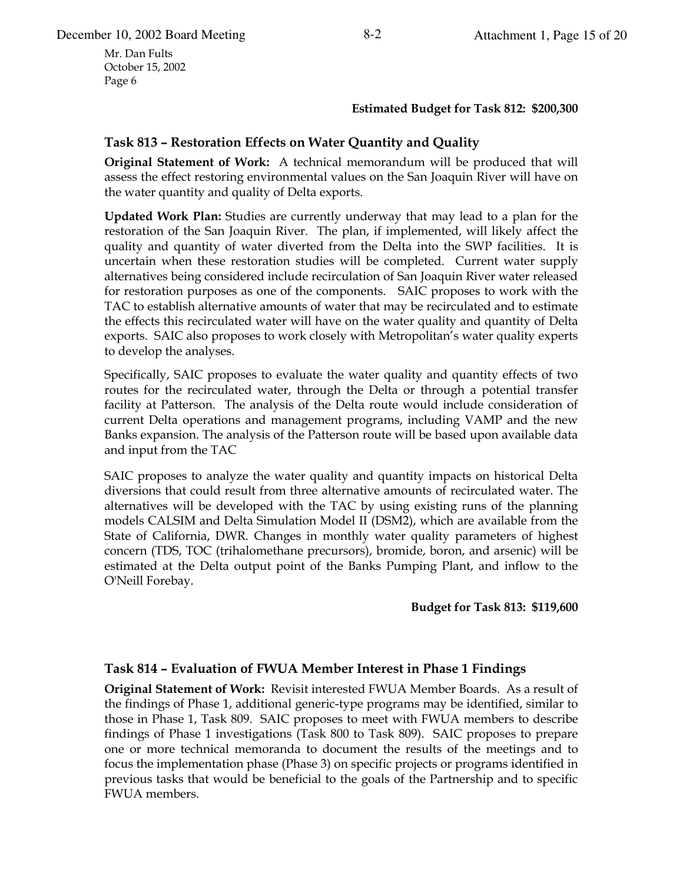#### **Estimated Budget for Task 812: \$200,300**

### Task 813 - Restoration Effects on Water Quantity and Quality

**Original Statement of Work:** A technical memorandum will be produced that will assess the effect restoring environmental values on the San Joaquin River will have on the water quantity and quality of Delta exports.

**Updated Work Plan:** Studies are currently underway that may lead to a plan for the restoration of the San Joaquin River. The plan, if implemented, will likely affect the quality and quantity of water diverted from the Delta into the SWP facilities. It is uncertain when these restoration studies will be completed. Current water supply alternatives being considered include recirculation of San Joaquin River water released for restoration purposes as one of the components. SAIC proposes to work with the TAC to establish alternative amounts of water that may be recirculated and to estimate the effects this recirculated water will have on the water quality and quantity of Delta exports. SAIC also proposes to work closely with Metropolitan's water quality experts to develop the analyses.

Specifically, SAIC proposes to evaluate the water quality and quantity effects of two routes for the recirculated water, through the Delta or through a potential transfer facility at Patterson. The analysis of the Delta route would include consideration of current Delta operations and management programs, including VAMP and the new Banks expansion. The analysis of the Patterson route will be based upon available data and input from the TAC

SAIC proposes to analyze the water quality and quantity impacts on historical Delta diversions that could result from three alternative amounts of recirculated water. The alternatives will be developed with the TAC by using existing runs of the planning models CALSIM and Delta Simulation Model II (DSM2), which are available from the State of California, DWR. Changes in monthly water quality parameters of highest concern (TDS, TOC (trihalomethane precursors), bromide, boron, and arsenic) will be estimated at the Delta output point of the Banks Pumping Plant, and inflow to the O'Neill Forebay.

#### **Budget for Task 813: \$119,600**

#### Task 814 - Evaluation of FWUA Member Interest in Phase 1 Findings

**Original Statement of Work: Revisit interested FWUA Member Boards. As a result of** the findings of Phase 1, additional generic-type programs may be identified, similar to those in Phase 1, Task 809. SAIC proposes to meet with FWUA members to describe findings of Phase 1 investigations (Task 800 to Task 809). SAIC proposes to prepare one or more technical memoranda to document the results of the meetings and to focus the implementation phase (Phase 3) on specific projects or programs identified in previous tasks that would be beneficial to the goals of the Partnership and to specific FWUA members.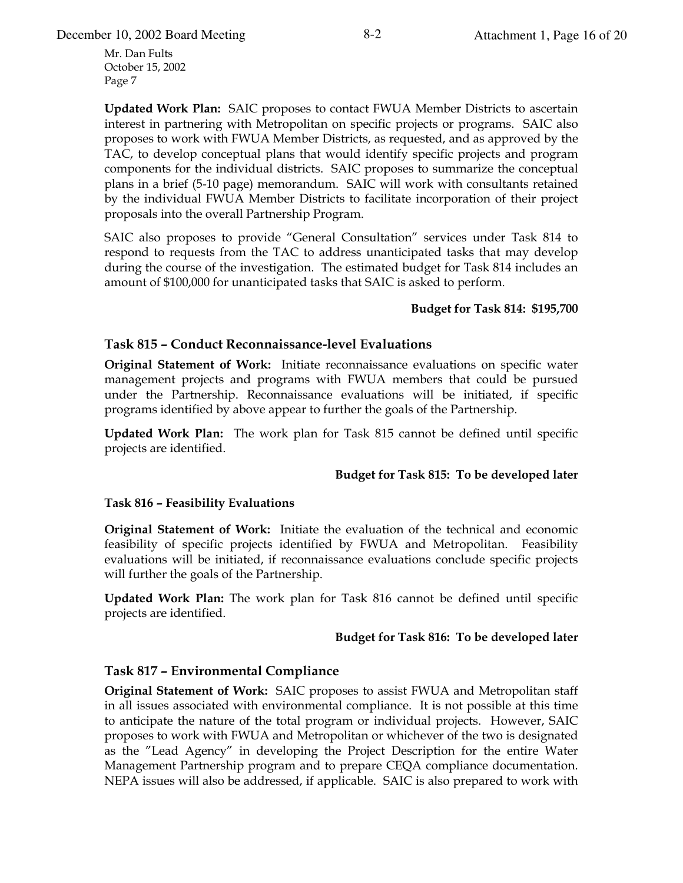December 10, 2002 Board Meeting 8-2 Attachment 1, Page 16 of 20

Mr. Dan Fults October 15, 2002 Page 7

**Updated Work Plan:** SAIC proposes to contact FWUA Member Districts to ascertain interest in partnering with Metropolitan on specific projects or programs. SAIC also proposes to work with FWUA Member Districts, as requested, and as approved by the TAC, to develop conceptual plans that would identify specific projects and program components for the individual districts. SAIC proposes to summarize the conceptual plans in a brief (5-10 page) memorandum. SAIC will work with consultants retained by the individual FWUA Member Districts to facilitate incorporation of their project proposals into the overall Partnership Program.

SAIC also proposes to provide "General Consultation" services under Task 814 to respond to requests from the TAC to address unanticipated tasks that may develop during the course of the investigation. The estimated budget for Task 814 includes an amount of \$100,000 for unanticipated tasks that SAIC is asked to perform.

#### **Budget for Task 814: \$195,700**

#### **Task 815 - Conduct Reconnaissance-level Evaluations**

**Original Statement of Work:** Initiate reconnaissance evaluations on specific water management projects and programs with FWUA members that could be pursued under the Partnership. Reconnaissance evaluations will be initiated, if specific programs identified by above appear to further the goals of the Partnership.

**Updated Work Plan:** The work plan for Task 815 cannot be defined until specific projects are identified.

#### **Budget for Task 815: To be developed later**

#### **Task 816 - Feasibility Evaluations**

**Original Statement of Work:** Initiate the evaluation of the technical and economic feasibility of specific projects identified by FWUA and Metropolitan. Feasibility evaluations will be initiated, if reconnaissance evaluations conclude specific projects will further the goals of the Partnership.

**Updated Work Plan:** The work plan for Task 816 cannot be defined until specific projects are identified.

#### Budget for Task 816: To be developed later

#### **Task 817 – Environmental Compliance**

**Original Statement of Work:** SAIC proposes to assist FWUA and Metropolitan staff in all issues associated with environmental compliance. It is not possible at this time to anticipate the nature of the total program or individual projects. However, SAIC proposes to work with FWUA and Metropolitan or whichever of the two is designated as the "Lead Agency" in developing the Project Description for the entire Water Management Partnership program and to prepare CEQA compliance documentation. NEPA issues will also be addressed, if applicable. SAIC is also prepared to work with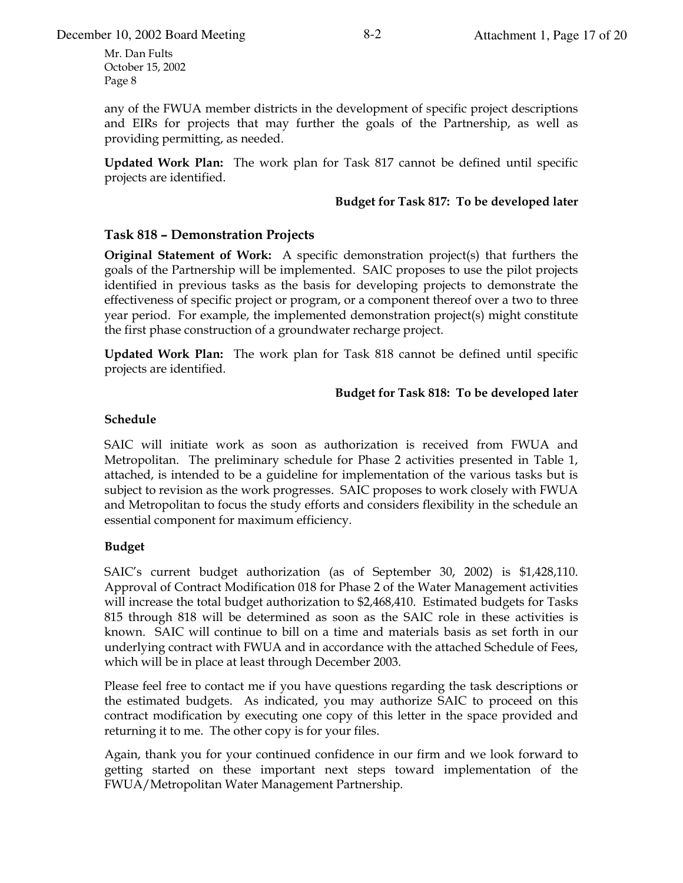any of the FWUA member districts in the development of specific project descriptions and EIRs for projects that may further the goals of the Partnership, as well as providing permitting, as needed.

**Updated Work Plan:** The work plan for Task 817 cannot be defined until specific projects are identified.

#### Budget for Task 817: To be developed later

### **Task 818 - Demonstration Projects**

**Original Statement of Work:** A specific demonstration project(s) that furthers the goals of the Partnership will be implemented. SAIC proposes to use the pilot projects identified in previous tasks as the basis for developing projects to demonstrate the effectiveness of specific project or program, or a component thereof over a two to three year period. For example, the implemented demonstration project(s) might constitute the first phase construction of a groundwater recharge project.

**Updated Work Plan:** The work plan for Task 818 cannot be defined until specific projects are identified.

#### Budget for Task 818: To be developed later

#### Schedule

SAIC will initiate work as soon as authorization is received from FWUA and Metropolitan. The preliminary schedule for Phase 2 activities presented in Table 1, attached, is intended to be a guideline for implementation of the various tasks but is subject to revision as the work progresses. SAIC proposes to work closely with FWUA and Metropolitan to focus the study efforts and considers flexibility in the schedule an essential component for maximum efficiency.

#### **Budget**

SAIC's current budget authorization (as of September 30, 2002) is \$1,428,110. Approval of Contract Modification 018 for Phase 2 of the Water Management activities will increase the total budget authorization to \$2,468,410. Estimated budgets for Tasks 815 through 818 will be determined as soon as the SAIC role in these activities is known. SAIC will continue to bill on a time and materials basis as set forth in our underlying contract with FWUA and in accordance with the attached Schedule of Fees, which will be in place at least through December 2003.

Please feel free to contact me if you have questions regarding the task descriptions or the estimated budgets. As indicated, you may authorize SAIC to proceed on this contract modification by executing one copy of this letter in the space provided and returning it to me. The other copy is for your files.

Again, thank you for your continued confidence in our firm and we look forward to getting started on these important next steps toward implementation of the FWUA/Metropolitan Water Management Partnership.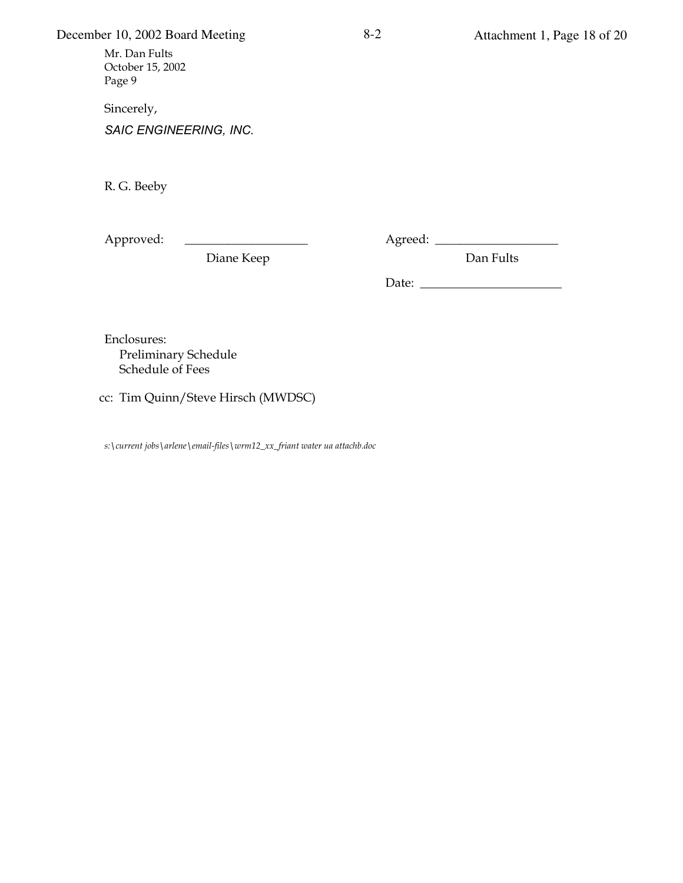# December 10, 2002 Board Meeting 8-2 Attachment 1, Page 18 of 20

Mr. Dan Fults October 15, 2002 Page 9

Sincerely,

 $S AIC$  *ENGINEERING, INC.* 

R. G. Beeby

<MM'\$B&CJ jjjjjjjjjjjjjjjjjjjj <8'&&CJ((jjjjjjjjjjjjjjjjjjjj

Diane Keep Dan Fults

01#&J((jjjjjjjjjjjjjjjjjjjjjjj

Enclosures: Preliminary Schedule Schedule of Fees

cc: Tim Quinn/Steve Hirsch (MWDSC)

*1(L&"\*\*%-'.\$4#1L,\*B%-%L%D,+BM9+B%1LN\*D<?OPPO9\*+,-'.N,'%\*.",.,'',&3#H84&*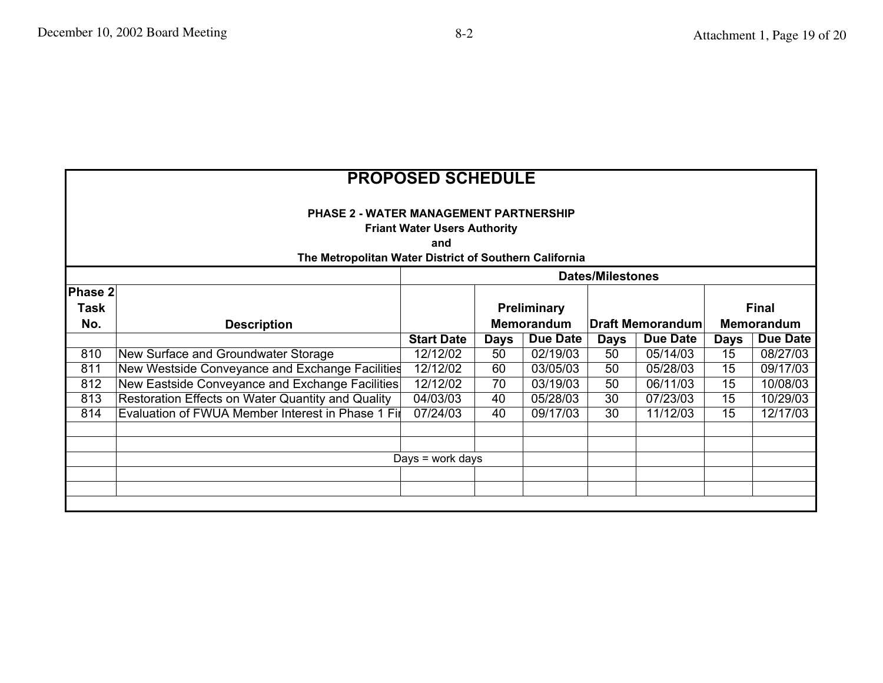| <b>PROPOSED SCHEDULE</b><br><b>PHASE 2 - WATER MANAGEMENT PARTNERSHIP</b><br><b>Friant Water Users Authority</b><br>and |                                                   |                   |             |                    |                         |          |                   |                 |
|-------------------------------------------------------------------------------------------------------------------------|---------------------------------------------------|-------------------|-------------|--------------------|-------------------------|----------|-------------------|-----------------|
| The Metropolitan Water District of Southern California<br><b>Dates/Milestones</b>                                       |                                                   |                   |             |                    |                         |          |                   |                 |
| Phase 2<br><b>Task</b>                                                                                                  |                                                   |                   |             | <b>Preliminary</b> |                         |          |                   | <b>Final</b>    |
| No.                                                                                                                     | <b>Description</b>                                |                   | Memorandum  |                    | <b>Draft Memorandum</b> |          | <b>Memorandum</b> |                 |
|                                                                                                                         |                                                   | <b>Start Date</b> | <b>Days</b> | Due Date           | Days                    | Due Date | <b>Days</b>       | <b>Due Date</b> |
| 810                                                                                                                     | New Surface and Groundwater Storage               | 12/12/02          | 50          | 02/19/03           | 50                      | 05/14/03 | 15                | 08/27/03        |
| 811                                                                                                                     | New Westside Conveyance and Exchange Facilities   | 12/12/02          | 60          | 03/05/03           | 50                      | 05/28/03 | 15                | 09/17/03        |
| 812                                                                                                                     | New Eastside Conveyance and Exchange Facilities   | 12/12/02          | 70          | 03/19/03           | 50                      | 06/11/03 | 15                | 10/08/03        |
| 813                                                                                                                     | Restoration Effects on Water Quantity and Quality | 04/03/03          | 40          | 05/28/03           | 30                      | 07/23/03 | 15                | 10/29/03        |
| 814                                                                                                                     | Evaluation of FWUA Member Interest in Phase 1 Fir | 07/24/03          | 40          | 09/17/03           | 30                      | 11/12/03 | 15                | 12/17/03        |
|                                                                                                                         |                                                   |                   |             |                    |                         |          |                   |                 |
|                                                                                                                         |                                                   |                   |             |                    |                         |          |                   |                 |
|                                                                                                                         | Days = work days                                  |                   |             |                    |                         |          |                   |                 |
|                                                                                                                         |                                                   |                   |             |                    |                         |          |                   |                 |
|                                                                                                                         |                                                   |                   |             |                    |                         |          |                   |                 |
|                                                                                                                         |                                                   |                   |             |                    |                         |          |                   |                 |